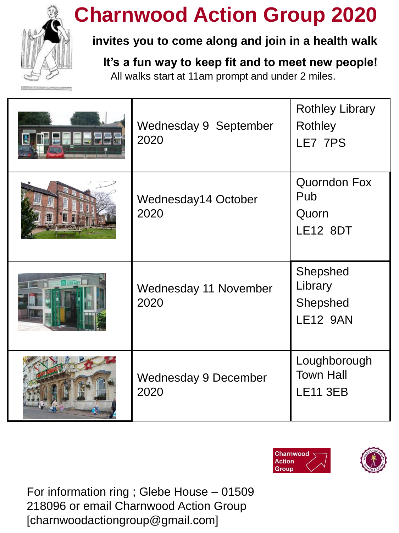

## **Charnwood Action Group 2020**

### **invites you to come along and join in a health walk**

**It's a fun way to keep fit and to meet new people!** 

All walks start at 11am prompt and under 2 miles.

| 11 - J 3 | <b>Wednesday 9 September</b><br>2020 | <b>Rothley Library</b><br>Rothley<br>LE7 7PS           |
|----------|--------------------------------------|--------------------------------------------------------|
|          | Wednesday14 October<br>2020          | <b>Quorndon Fox</b><br>Pub<br>Quorn<br><b>LE12 8DT</b> |
|          | Wednesday 11 November<br>2020        | Shepshed<br>Library<br>Shepshed<br><b>LE12 9AN</b>     |
|          | <b>Wednesday 9 December</b><br>2020  | Loughborough<br><b>Town Hall</b><br><b>LE11 3EB</b>    |





For information ring ; Glebe House – 01509 218096 or email Charnwood Action Group [charnwoodactiongroup@gmail.com]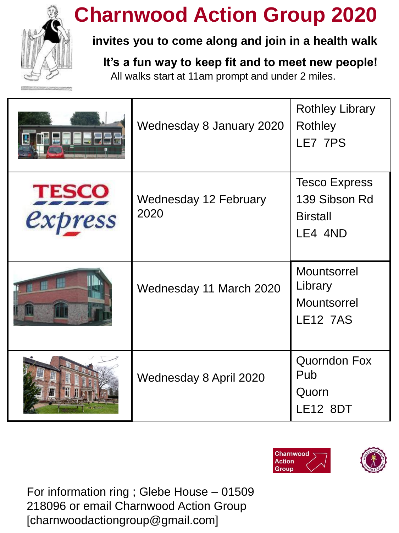

## **Charnwood Action Group 2020**

#### **invites you to come along and join in a health walk**

**It's a fun way to keep fit and to meet new people!**  All walks start at 11am prompt and under 2 miles.

| 屇                       | Wednesday 8 January 2020             | <b>Rothley Library</b><br>Rothley<br>LE7 7PS                        |
|-------------------------|--------------------------------------|---------------------------------------------------------------------|
| <b>TESCO</b><br>express | <b>Wednesday 12 February</b><br>2020 | <b>Tesco Express</b><br>139 Sibson Rd<br><b>Birstall</b><br>LE4 4ND |
|                         | Wednesday 11 March 2020              | Mountsorrel<br>Library<br><b>Mountsorrel</b><br><b>LE12 7AS</b>     |
| 羅                       | Wednesday 8 April 2020               | <b>Quorndon Fox</b><br>Pub<br>Quorn<br><b>LE12 8DT</b>              |



For information ring ; Glebe House – 01509 218096 or email Charnwood Action Group [charnwoodactiongroup@gmail.com]